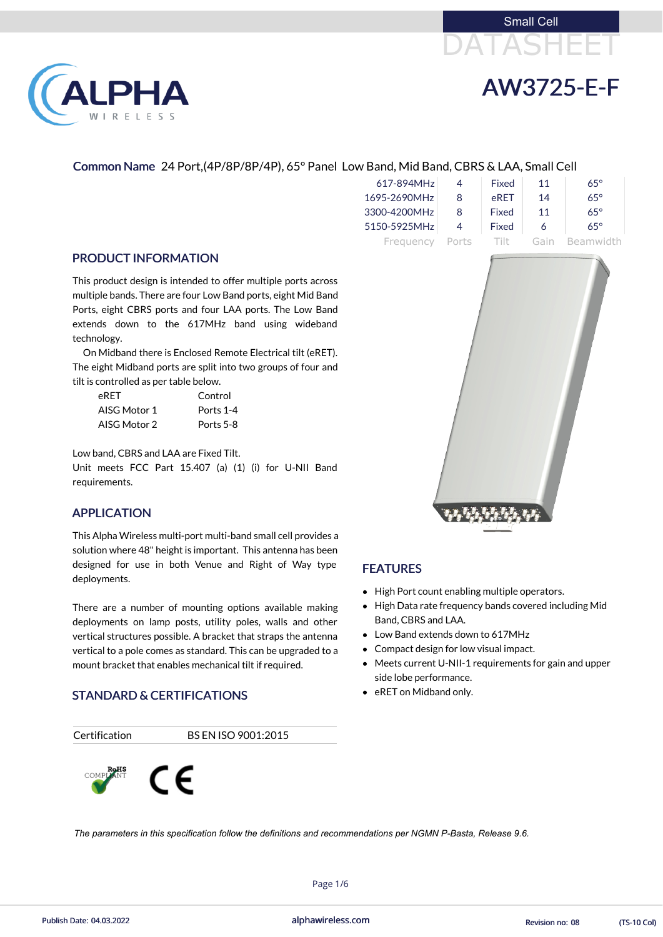



### Common Name 24 Port,(4P/8P/8P/4P), 65° Panel Low Band, Mid Band, CBRS & LAA, Small Cell

| 617-894MHz   |       | Fixed        | 11   | $65^\circ$ |
|--------------|-------|--------------|------|------------|
| 1695-2690MHz | 8     | eRET         | 14   | $65^\circ$ |
| 3300-4200MHz | 8     | <b>Fixed</b> | 11   | $65^\circ$ |
| 5150-5925MHz | 4     | Fixed        | 6    | $65^\circ$ |
| Frequency    | Ports | -Tilt        | Gain | Beamwidth  |

### PRODUCT INFORMATION

This product design is intended to offer multiple ports across multiple bands. There are four Low Band ports, eight Mid Band Ports, eight CBRS ports and four LAA ports. The Low Band extends down to the 617MHz band using wideband technology.

On Midband there is Enclosed Remote Electrical tilt (eRET). The eight Midband ports are split into two groups of four and tilt is controlled as per table below.

Low band, CBRS and LAA are Fixed Tilt.

Unit meets FCC Part 15.407 (a) (1) (i) for U-NII Band requirements.

| eRET         | Control   |
|--------------|-----------|
| AISG Motor 1 | Ports 1-4 |
| AISG Motor 2 | Ports 5-8 |

#### APPLICATION

This Alpha Wireless multi-port multi-band small cell provides a solution where 48" height is important. This antenna has been designed for use in both Venue and Right of Way type deployments.

There are a number of mounting options available making deployments on lamp posts, utility poles, walls and other vertical structures possible. A bracket that straps the antenna vertical to a pole comes as standard. This can be upgraded to a mount bracket that enables mechanical tilt if required.

### STANDARD & CERTIFICATIONS





### FEATURES

- High Port count enabling multiple operators.
- High Data rate frequency bands covered including Mid Band, CBRS and LAA.
- Low Band extends down to 617MHz
- Compact design for low visual impact.
- Meets current U-NII-1 requirements for gain and upper side lobe performance.
- eRET on Midband only.





Page 1/6

Publish Date: 04.03.2022 alphawireless.com Revision no: 08 (TS-10 Col)

*The parameters in this specification follow the definitions and recommendations per NGMN P-Basta, Release 9.6.*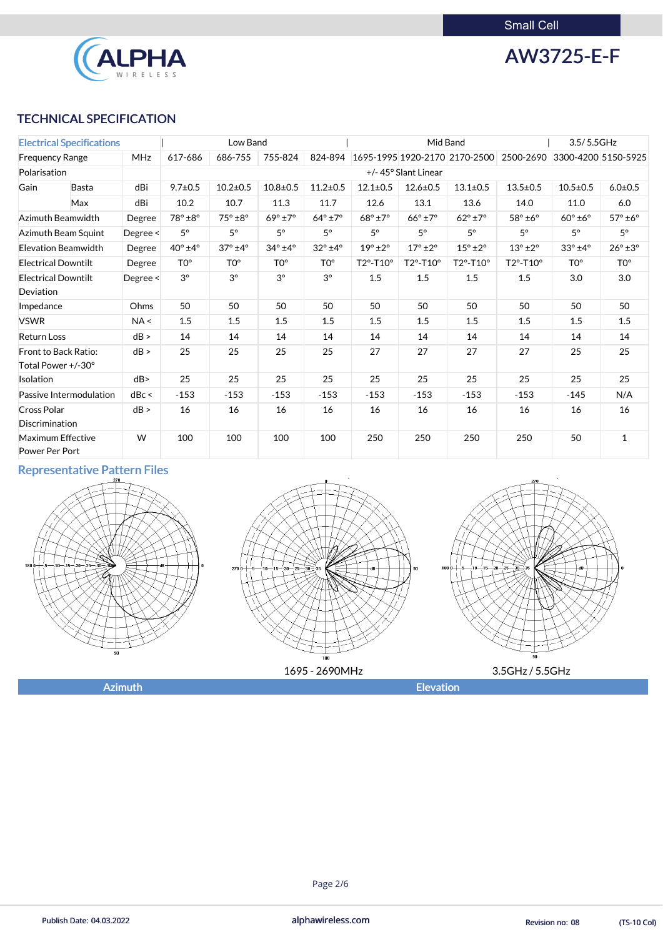

AW3725-E-F

# TECHNICAL SPECIFICATION

| <b>Electrical Specifications</b>           |                            |          |                  | Low Band               |                        |                            |                        |                        | Mid Band                      |                            | 3.5/5.5GHz             |                        |
|--------------------------------------------|----------------------------|----------|------------------|------------------------|------------------------|----------------------------|------------------------|------------------------|-------------------------------|----------------------------|------------------------|------------------------|
| <b>MHz</b><br><b>Frequency Range</b>       |                            |          | 617-686          | 686-755                | 755-824                | 824-894                    |                        |                        | 1695-1995 1920-2170 2170-2500 | 2500-2690                  |                        | 3300-4200 5150-5925    |
| Polarisation                               |                            |          |                  |                        |                        |                            |                        | +/-45° Slant Linear    |                               |                            |                        |                        |
| Gain                                       | <b>Basta</b>               | dBi      | $9.7 \pm 0.5$    | $10.2 \pm 0.5$         | $10.8 + 0.5$           | $11.2 \pm 0.5$             | $12.1 \pm 0.5$         | $12.6 \pm 0.5$         | $13.1 \pm 0.5$                | $13.5 \pm 0.5$             | $10.5 \pm 0.5$         | $6.0 + 0.5$            |
|                                            | Max                        | dBi      | 10.2             | 10.7                   | 11.3                   | 11.7                       | 12.6                   | 13.1                   | 13.6                          | 14.0                       | 11.0                   | 6.0                    |
|                                            | <b>Azimuth Beamwidth</b>   | Degree   | 78° ±8°          | 75° ±8°                | $69^\circ \pm 7^\circ$ | $64^\circ \pm 7^\circ$     | $68^\circ \pm 7^\circ$ | $66^\circ \pm 7^\circ$ | $62^{\circ}$ ±7°              | $58^\circ \pm 6^\circ$     | $60^\circ \pm 6^\circ$ | $57^\circ \pm 6^\circ$ |
|                                            | Azimuth Beam Squint        | Degree < | $5^{\circ}$      | $5^\circ$              | $5^{\circ}$            | $5^\circ$                  | $5^\circ$              | $5^\circ$              | $5^\circ$                     | $5^\circ$                  | $5^\circ$              | $5^\circ$              |
|                                            | <b>Elevation Beamwidth</b> | Degree   | $40^{\circ}$ ±4° | $37^\circ \pm 4^\circ$ | $34^\circ \pm 4^\circ$ | $32^{\circ}$ ±4 $^{\circ}$ | $19^\circ \pm 2^\circ$ | $17^\circ \pm 2^\circ$ | $15^{\circ}$ ±2 $^{\circ}$    | $13^{\circ}$ ±2 $^{\circ}$ | $33^\circ \pm 4^\circ$ | $26^\circ \pm 3^\circ$ |
| <b>Electrical Downtilt</b>                 |                            | Degree   | TO <sup>o</sup>  | TO <sup>o</sup>        | TO <sup>o</sup>        | T <sub>0</sub> °           | T2°-T10°               | T2°-T10°               | T2°-T10°                      | T2°-T10°                   | TO <sup>o</sup>        | TO <sup>o</sup>        |
| <b>Electrical Downtilt</b><br>Deviation    |                            | Degree < | $3^{\circ}$      | $3^{\circ}$            | $3^{\circ}$            | $3^{\circ}$                | 1.5                    | 1.5                    | 1.5                           | 1.5                        | 3.0                    | 3.0                    |
| Impedance                                  |                            | Ohms     | 50               | 50                     | 50                     | 50                         | 50                     | 50                     | 50                            | 50                         | 50                     | 50                     |
| <b>VSWR</b>                                |                            | NA <     | 1.5              | 1.5                    | 1.5                    | 1.5                        | 1.5                    | 1.5                    | 1.5                           | 1.5                        | 1.5                    | 1.5                    |
| <b>Return Loss</b>                         |                            | dB >     | 14               | 14                     | 14                     | 14                         | 14                     | 14                     | 14                            | 14                         | 14                     | 14                     |
| Total Power +/-30°                         | Front to Back Ratio:       | dB >     | 25               | 25                     | 25                     | 25                         | 27                     | 27                     | 27                            | 27                         | 25                     | 25                     |
| Isolation                                  |                            | dB       | 25               | 25                     | 25                     | 25                         | 25                     | 25                     | 25                            | 25                         | 25                     | 25                     |
|                                            | Passive Intermodulation    | dBc <    | $-153$           | $-153$                 | $-153$                 | $-153$                     | $-153$                 | $-153$                 | $-153$                        | $-153$                     | $-145$                 | N/A                    |
| <b>Cross Polar</b><br>Discrimination       |                            | dB >     | 16               | 16                     | 16                     | 16                         | 16                     | 16                     | 16                            | 16                         | 16                     | 16                     |
| <b>Maximum Effective</b><br>Power Per Port |                            | W        | 100              | 100                    | 100                    | 100                        | 250                    | 250                    | 250                           | 250                        | 50                     | $\mathbf{1}$           |

# Representative Pattern Files



![](_page_1_Figure_7.jpeg)

![](_page_1_Figure_8.jpeg)

Azimuth **Elevation** 

#### Page 2/6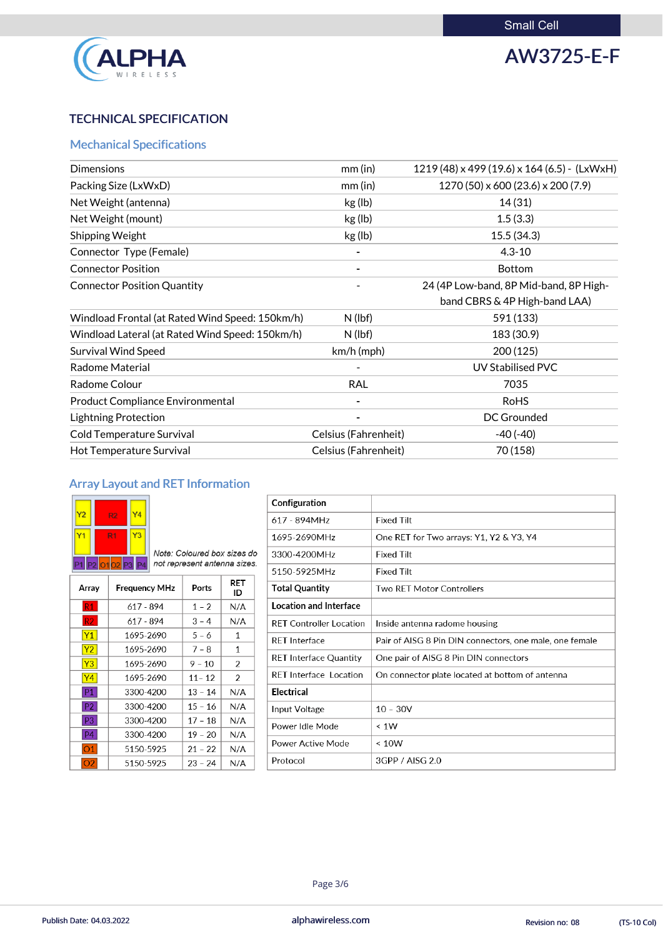![](_page_2_Picture_1.jpeg)

# AW3725-E-F

# TECHNICAL SPECIFICATION

# Mechanical Specifications

| <b>Dimensions</b>                               | $mm$ (in)            | 1219 (48) x 499 (19.6) x 164 (6.5) - (LxWxH) |
|-------------------------------------------------|----------------------|----------------------------------------------|
| Packing Size (LxWxD)                            | $mm$ (in)            | $1270(50) \times 600(23.6) \times 200(7.9)$  |
| Net Weight (antenna)                            | kg (lb)              | 14(31)                                       |
| Net Weight (mount)                              | kg (lb)              | 1.5(3.3)                                     |
| <b>Shipping Weight</b>                          | kg (lb)              | 15.5(34.3)                                   |
| Connector Type (Female)                         |                      | $4.3 - 10$                                   |
| <b>Connector Position</b>                       |                      | <b>Bottom</b>                                |
| <b>Connector Position Quantity</b>              |                      | 24 (4P Low-band, 8P Mid-band, 8P High-       |
|                                                 |                      | band CBRS & 4P High-band LAA)                |
| Windload Frontal (at Rated Wind Speed: 150km/h) | $N$ (lbf)            | 591 (133)                                    |
| Windload Lateral (at Rated Wind Speed: 150km/h) | $N$ (lbf)            | 183 (30.9)                                   |
| <b>Survival Wind Speed</b>                      | $km/h$ (mph)         | 200(125)                                     |
| <b>Radome Material</b>                          |                      | <b>UV Stabilised PVC</b>                     |
| Radome Colour                                   | <b>RAL</b>           | 7035                                         |
| <b>Product Compliance Environmental</b>         |                      | <b>RoHS</b>                                  |
| <b>Lightning Protection</b>                     |                      | <b>DC Grounded</b>                           |
| <b>Cold Temperature Survival</b>                | Celsius (Fahrenheit) | $-40(-40)$                                   |
| Hot Temperature Survival                        | Celsius (Fahrenheit) | 70 (158)                                     |
|                                                 |                      |                                              |

# Array Layout and RET Information

| Y <sub>2</sub>                                        | 9. | Y4 |  |  |
|-------------------------------------------------------|----|----|--|--|
|                                                       | R1 | Y3 |  |  |
| P <sub>2</sub> 01 02 P <sub>3</sub><br>P <sub>4</sub> |    |    |  |  |

Note: Coloured box sizes do not represent antenna sizes.

| Array          | <b>Frequency MHz</b> | Ports     | RET<br>ID                |
|----------------|----------------------|-----------|--------------------------|
| R1             | 617 - 894            | $1 - 2$   | N/A                      |
| R2             | 617 - 894            | $3 - 4$   | N/A                      |
| Y <sub>1</sub> | 1695-2690            | $5 - 6$   | 1                        |
| <b>Y2</b>      | 1695-2690            | $7 - 8$   | 1                        |
| Y <sub>3</sub> | 1695-2690            | $9 - 10$  | $\overline{\mathcal{L}}$ |
| Y4             | 1695-2690            | $11 - 12$ | $\mathcal{P}$            |
| P1.            | 3300-4200            | $13 - 14$ | N/A                      |
| רפם.           | asuu vucc            | 15<br>16  | N/A                      |

| Configuration                  |                                                         |
|--------------------------------|---------------------------------------------------------|
| 617 - 894MHz                   | <b>Fixed Tilt</b>                                       |
| 1695-2690MHz                   | One RET for Two arrays: Y1, Y2 & Y3, Y4                 |
| 3300-4200MHz                   | <b>Fixed Tilt</b>                                       |
| 5150-5925MHz                   | <b>Fixed Tilt</b>                                       |
| <b>Total Quantity</b>          | <b>Two RET Motor Controllers</b>                        |
| Location and Interface         |                                                         |
| <b>RET Controller Location</b> | Inside antenna radome housing                           |
| <b>RET</b> Interface           | Pair of AISG 8 Pin DIN connectors, one male, one female |
| <b>RET Interface Quantity</b>  | One pair of AISG 8 Pin DIN connectors                   |
| <b>RET</b> Interface Location  | On connector plate located at bottom of antenna         |
| <b>Electrical</b>              |                                                         |
|                                |                                                         |

| $\cdots$       | $\sim$    | --<br>$\sim$ |     | input voltage     | $10 - 30V$      |
|----------------|-----------|--------------|-----|-------------------|-----------------|
| P <sub>3</sub> | 3300-4200 | $17 - 18$    | N/A | Power Idle Mode   | $\leq 1W$       |
| <b>P4</b>      | 3300-4200 | $19 - 20$    | N/A |                   |                 |
|                | 5150-5925 | $21 - 22$    | N/A | Power Active Mode | $\leq 10W$      |
| 02             | 5150-5925 | $23 - 24$    | N/A | Protocol          | 3GPP / AISG 2.0 |

Page 3/6

Publish Date: 04.03.2022 alphawireless.com Revision no: 08 (TS-10 Col)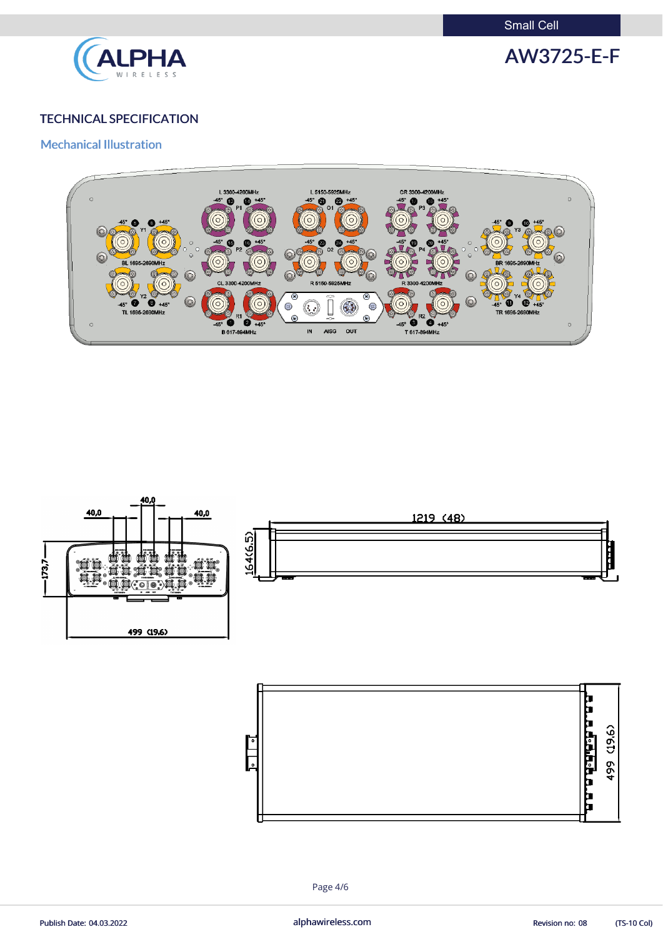Small Cell

![](_page_3_Picture_1.jpeg)

AW3725-E-F

## TECHNICAL SPECIFICATION

### Mechanical Illustration

![](_page_3_Figure_5.jpeg)

![](_page_3_Figure_6.jpeg)

![](_page_3_Figure_7.jpeg)

Page 4/6

Publish Date: 04.03.2022 **alphawireless.com** alphawireless.com Revision no: 08 (TS-10 Col)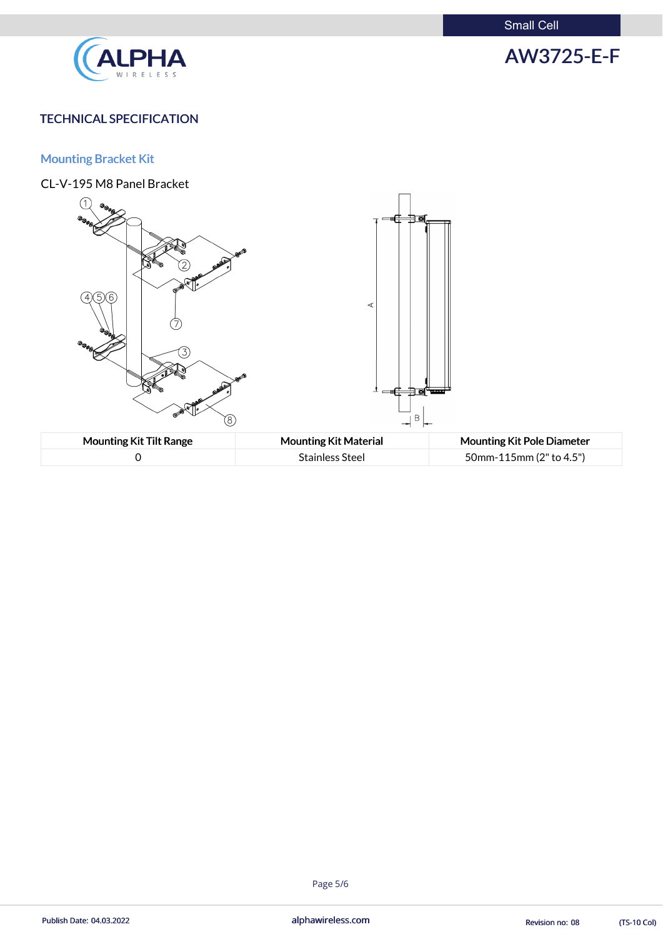Small Cell

![](_page_4_Picture_1.jpeg)

# AW3725-E-F

## TECHNICAL SPECIFICATION

# Mounting Bracket Kit

![](_page_4_Figure_5.jpeg)

#### Page 5/6